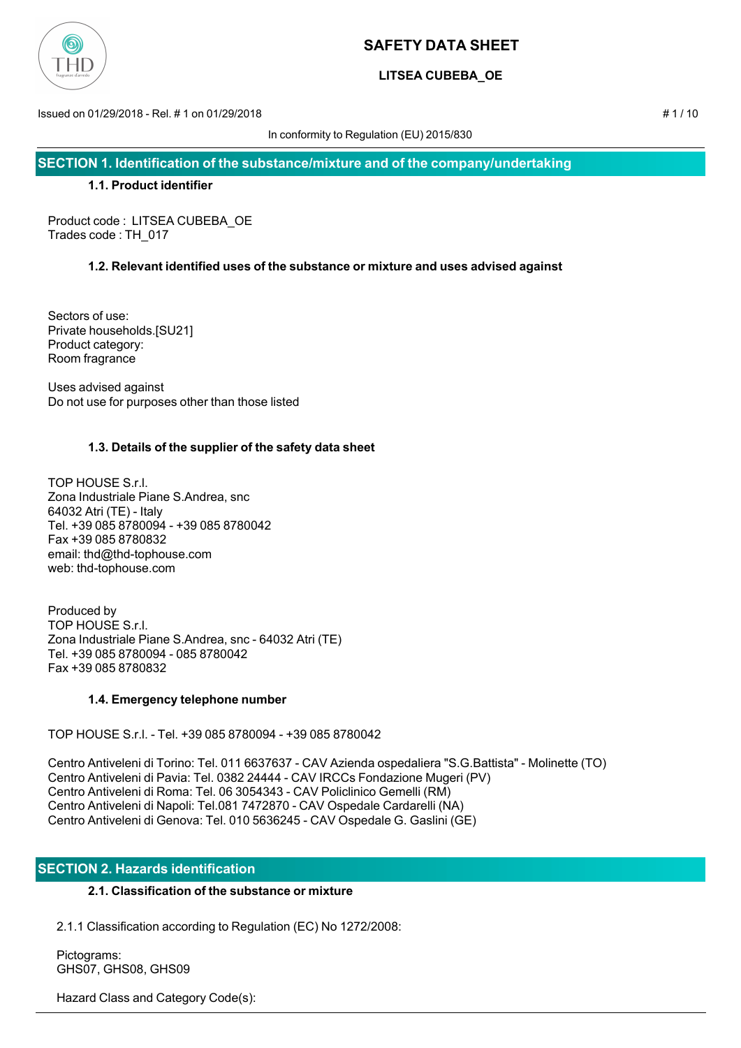

# **LITSEA CUBEBA\_OE**

Issued on 01/29/2018 - Rel. # 1 on 01/29/2018 # 1 / 10

In conformity to Regulation (EU) 2015/830

**SECTION 1. Identification of the substance/mixture and of the company/undertaking**

## **1.1. Product identifier**

Product code : LITSEA CUBEBA\_OE Trades code : TH\_017

# **1.2. Relevant identified uses of the substance or mixture and uses advised against**

Sectors of use: Private households.[SU21] Product category: Room fragrance

Uses advised against Do not use for purposes other than those listed

# **1.3. Details of the supplier of the safety data sheet**

TOP HOUSE S.r.l. Zona Industriale Piane S.Andrea, snc 64032 Atri (TE) - Italy Tel. +39 085 8780094 - +39 085 8780042 Fax +39 085 8780832 email: thd@thd-tophouse.com web: thd-tophouse.com

Produced by TOP HOUSE S.r.l. Zona Industriale Piane S.Andrea, snc - 64032 Atri (TE) Tel. +39 085 8780094 - 085 8780042 Fax +39 085 8780832

# **1.4. Emergency telephone number**

TOP HOUSE S.r.l. - Tel. +39 085 8780094 - +39 085 8780042

Centro Antiveleni di Torino: Tel. 011 6637637 - CAV Azienda ospedaliera "S.G.Battista" - Molinette (TO) Centro Antiveleni di Pavia: Tel. 0382 24444 - CAV IRCCs Fondazione Mugeri (PV) Centro Antiveleni di Roma: Tel. 06 3054343 - CAV Policlinico Gemelli (RM) Centro Antiveleni di Napoli: Tel.081 7472870 - CAV Ospedale Cardarelli (NA) Centro Antiveleni di Genova: Tel. 010 5636245 - CAV Ospedale G. Gaslini (GE)

# **SECTION 2. Hazards identification**

# **2.1. Classification of the substance or mixture**

2.1.1 Classification according to Regulation (EC) No 1272/2008:

 Pictograms: GHS07, GHS08, GHS09

Hazard Class and Category Code(s):

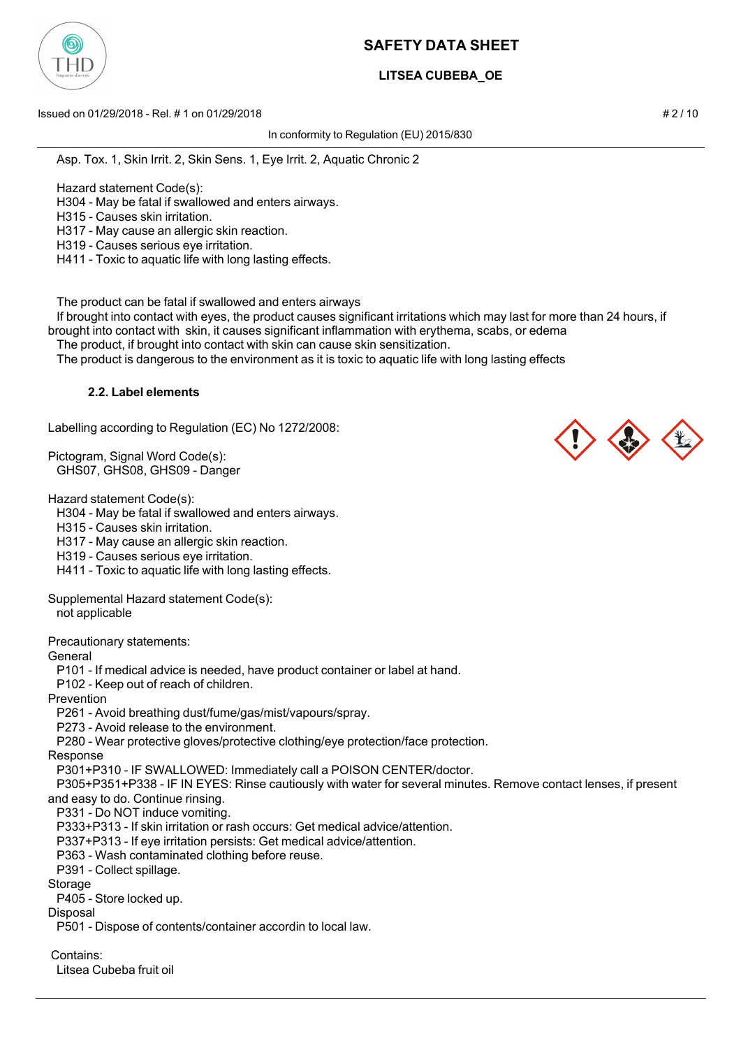

# **LITSEA CUBEBA\_OE**

Issued on 01/29/2018 - Rel. # 1 on 01/29/2018 # 2 / 10

In conformity to Regulation (EU) 2015/830

Asp. Tox. 1, Skin Irrit. 2, Skin Sens. 1, Eye Irrit. 2, Aquatic Chronic 2

Hazard statement Code(s):

H304 - May be fatal if swallowed and enters airways.

H315 - Causes skin irritation.

H317 - May cause an allergic skin reaction.

H319 - Causes serious eye irritation.

H411 - Toxic to aquatic life with long lasting effects.

The product can be fatal if swallowed and enters airways

 If brought into contact with eyes, the product causes significant irritations which may last for more than 24 hours, if brought into contact with skin, it causes significant inflammation with erythema, scabs, or edema

The product, if brought into contact with skin can cause skin sensitization.

The product is dangerous to the environment as it is toxic to aquatic life with long lasting effects

### **2.2. Label elements**

Labelling according to Regulation (EC) No 1272/2008:

Pictogram, Signal Word Code(s): GHS07, GHS08, GHS09 - Danger

Hazard statement Code(s):

H304 - May be fatal if swallowed and enters airways.

H315 - Causes skin irritation.

H317 - May cause an allergic skin reaction.

H319 - Causes serious eye irritation.

H411 - Toxic to aquatic life with long lasting effects.

Supplemental Hazard statement Code(s): not applicable

Precautionary statements:

**General** 

P101 - If medical advice is needed, have product container or label at hand.

P102 - Keep out of reach of children.

Prevention

P261 - Avoid breathing dust/fume/gas/mist/vapours/spray.

P273 - Avoid release to the environment.

P280 - Wear protective gloves/protective clothing/eye protection/face protection.

Response

P301+P310 - IF SWALLOWED: Immediately call a POISON CENTER/doctor.

 P305+P351+P338 - IF IN EYES: Rinse cautiously with water for several minutes. Remove contact lenses, if present and easy to do. Continue rinsing.

P331 - Do NOT induce vomiting.

P333+P313 - If skin irritation or rash occurs: Get medical advice/attention.

P337+P313 - If eye irritation persists: Get medical advice/attention.

P363 - Wash contaminated clothing before reuse.

P391 - Collect spillage.

**Storage** 

Disposal

P405 - Store locked up.

P501 - Dispose of contents/container accordin to local law.

Contains:

Litsea Cubeba fruit oil



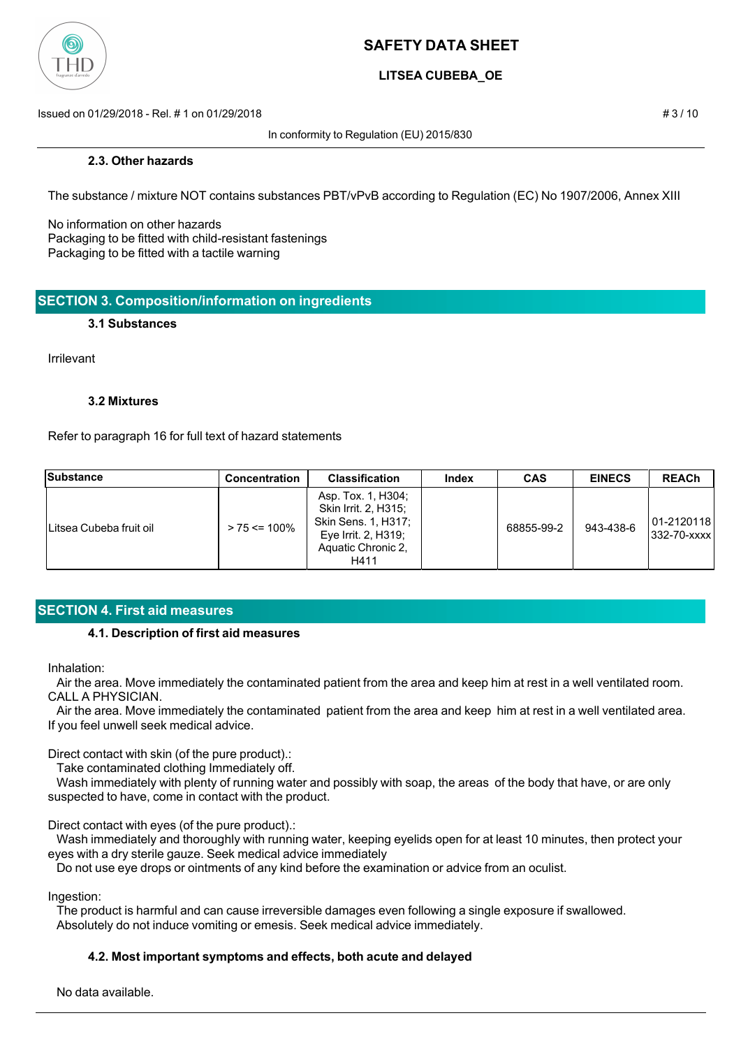

# **LITSEA CUBEBA\_OE**

Issued on 01/29/2018 - Rel. # 1 on 01/29/2018 # 3 / 10

In conformity to Regulation (EU) 2015/830

#### **2.3. Other hazards**

The substance / mixture NOT contains substances PBT/vPvB according to Regulation (EC) No 1907/2006, Annex XIII

No information on other hazards Packaging to be fitted with child-resistant fastenings Packaging to be fitted with a tactile warning

## **SECTION 3. Composition/information on ingredients**

#### **3.1 Substances**

Irrilevant

#### **3.2 Mixtures**

Refer to paragraph 16 for full text of hazard statements

| Substance                | <b>Concentration</b> | <b>Classification</b>                                                                                                     | Index | <b>CAS</b> | <b>EINECS</b> | <b>REACh</b>                 |
|--------------------------|----------------------|---------------------------------------------------------------------------------------------------------------------------|-------|------------|---------------|------------------------------|
| ILitsea Cubeba fruit oil | $> 75 \le 100\%$     | Asp. Tox. 1, H304;<br>Skin Irrit. 2, H315;<br>Skin Sens. 1, H317;<br>Eye Irrit. 2, $H319$ ;<br>Aquatic Chronic 2,<br>H411 |       | 68855-99-2 | 943-438-6     | 101-21201181<br> 332-70-xxxx |

# **SECTION 4. First aid measures**

## **4.1. Description of first aid measures**

Inhalation:

 Air the area. Move immediately the contaminated patient from the area and keep him at rest in a well ventilated room. CALL A PHYSICIAN.

 Air the area. Move immediately the contaminated patient from the area and keep him at rest in a well ventilated area. If you feel unwell seek medical advice.

Direct contact with skin (of the pure product).:

Take contaminated clothing Immediately off.

 Wash immediately with plenty of running water and possibly with soap, the areas of the body that have, or are only suspected to have, come in contact with the product.

Direct contact with eyes (of the pure product).:

 Wash immediately and thoroughly with running water, keeping eyelids open for at least 10 minutes, then protect your eyes with a dry sterile gauze. Seek medical advice immediately

Do not use eye drops or ointments of any kind before the examination or advice from an oculist.

Ingestion:

 The product is harmful and can cause irreversible damages even following a single exposure if swallowed. Absolutely do not induce vomiting or emesis. Seek medical advice immediately.

### **4.2. Most important symptoms and effects, both acute and delayed**

No data available.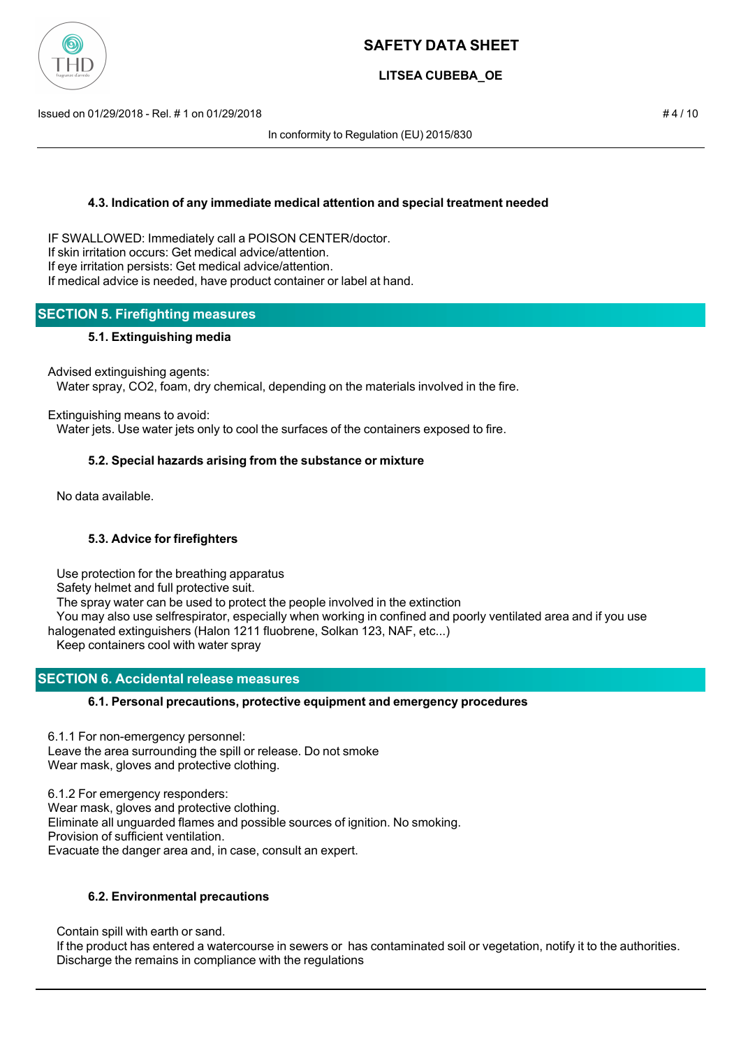

# **LITSEA CUBEBA\_OE**

Issued on 01/29/2018 - Rel. # 1 on 01/29/2018 # 4 / 10

In conformity to Regulation (EU) 2015/830

### **4.3. Indication of any immediate medical attention and special treatment needed**

IF SWALLOWED: Immediately call a POISON CENTER/doctor. If skin irritation occurs: Get medical advice/attention. If eye irritation persists: Get medical advice/attention. If medical advice is needed, have product container or label at hand.

## **SECTION 5. Firefighting measures**

### **5.1. Extinguishing media**

Advised extinguishing agents:

Water spray, CO2, foam, dry chemical, depending on the materials involved in the fire.

Extinguishing means to avoid:

Water jets. Use water jets only to cool the surfaces of the containers exposed to fire.

### **5.2. Special hazards arising from the substance or mixture**

No data available.

### **5.3. Advice for firefighters**

Use protection for the breathing apparatus

Safety helmet and full protective suit.

The spray water can be used to protect the people involved in the extinction

 You may also use selfrespirator, especially when working in confined and poorly ventilated area and if you use halogenated extinguishers (Halon 1211 fluobrene, Solkan 123, NAF, etc...)

Keep containers cool with water spray

# **SECTION 6. Accidental release measures**

### **6.1. Personal precautions, protective equipment and emergency procedures**

6.1.1 For non-emergency personnel: Leave the area surrounding the spill or release. Do not smoke Wear mask, gloves and protective clothing.

6.1.2 For emergency responders: Wear mask, gloves and protective clothing. Eliminate all unguarded flames and possible sources of ignition. No smoking. Provision of sufficient ventilation. Evacuate the danger area and, in case, consult an expert.

### **6.2. Environmental precautions**

Contain spill with earth or sand.

 If the product has entered a watercourse in sewers or has contaminated soil or vegetation, notify it to the authorities. Discharge the remains in compliance with the regulations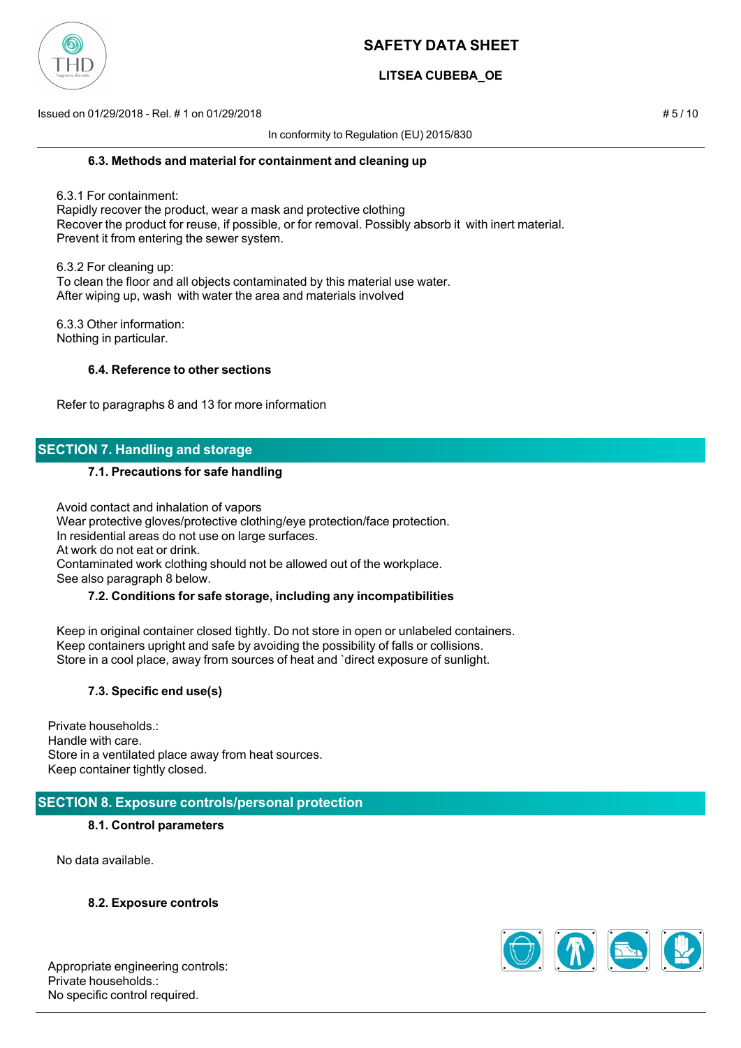

# **LITSEA CUBEBA\_OE**

Issued on 01/29/2018 - Rel. # 1 on 01/29/2018 # 5 / 10

In conformity to Regulation (EU) 2015/830

#### **6.3. Methods and material for containment and cleaning up**

 6.3.1 For containment: Rapidly recover the product, wear a mask and protective clothing Recover the product for reuse, if possible, or for removal. Possibly absorb it with inert material. Prevent it from entering the sewer system.

 6.3.2 For cleaning up: To clean the floor and all objects contaminated by this material use water. After wiping up, wash with water the area and materials involved

 6.3.3 Other information: Nothing in particular.

### **6.4. Reference to other sections**

Refer to paragraphs 8 and 13 for more information

## **SECTION 7. Handling and storage**

#### **7.1. Precautions for safe handling**

 Avoid contact and inhalation of vapors Wear protective gloves/protective clothing/eye protection/face protection. In residential areas do not use on large surfaces. At work do not eat or drink. Contaminated work clothing should not be allowed out of the workplace. See also paragraph 8 below.

# **7.2. Conditions for safe storage, including any incompatibilities**

 Keep in original container closed tightly. Do not store in open or unlabeled containers. Keep containers upright and safe by avoiding the possibility of falls or collisions. Store in a cool place, away from sources of heat and `direct exposure of sunlight.

### **7.3. Specific end use(s)**

Private households.: Handle with care. Store in a ventilated place away from heat sources. Keep container tightly closed.

### **SECTION 8. Exposure controls/personal protection**

### **8.1. Control parameters**

No data available.

**8.2. Exposure controls**

Appropriate engineering controls: Private households.: No specific control required.

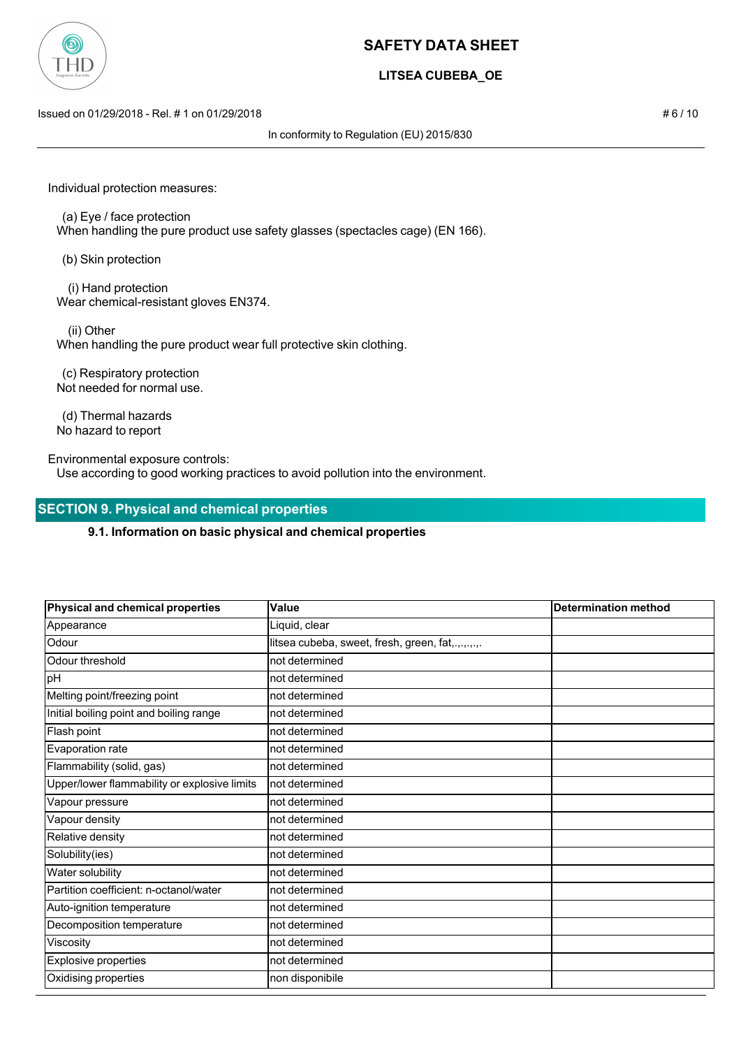

# **LITSEA CUBEBA\_OE**

Issued on 01/29/2018 - Rel. # 1 on 01/29/2018 # 6 / 10

In conformity to Regulation (EU) 2015/830

Individual protection measures:

 (a) Eye / face protection When handling the pure product use safety glasses (spectacles cage) (EN 166).

(b) Skin protection

 (i) Hand protection Wear chemical-resistant gloves EN374.

(ii) Other

When handling the pure product wear full protective skin clothing.

 (c) Respiratory protection Not needed for normal use.

 (d) Thermal hazards No hazard to report

Environmental exposure controls: Use according to good working practices to avoid pollution into the environment.

## **SECTION 9. Physical and chemical properties**

#### **9.1. Information on basic physical and chemical properties**

| <b>Physical and chemical properties</b>      | Value                                             | <b>Determination method</b> |
|----------------------------------------------|---------------------------------------------------|-----------------------------|
| Appearance                                   | Liquid, clear                                     |                             |
| Odour                                        | litsea cubeba, sweet, fresh, green, fat,.,.,.,.,. |                             |
| Odour threshold                              | not determined                                    |                             |
| pH                                           | not determined                                    |                             |
| Melting point/freezing point                 | not determined                                    |                             |
| Initial boiling point and boiling range      | not determined                                    |                             |
| Flash point                                  | not determined                                    |                             |
| Evaporation rate                             | not determined                                    |                             |
| Flammability (solid, gas)                    | not determined                                    |                             |
| Upper/lower flammability or explosive limits | not determined                                    |                             |
| Vapour pressure                              | not determined                                    |                             |
| Vapour density                               | not determined                                    |                             |
| Relative density                             | not determined                                    |                             |
| Solubility(ies)                              | not determined                                    |                             |
| Water solubility                             | not determined                                    |                             |
| Partition coefficient: n-octanol/water       | not determined                                    |                             |
| Auto-ignition temperature                    | not determined                                    |                             |
| Decomposition temperature                    | not determined                                    |                             |
| Viscosity                                    | not determined                                    |                             |
| Explosive properties                         | not determined                                    |                             |
| Oxidising properties                         | non disponibile                                   |                             |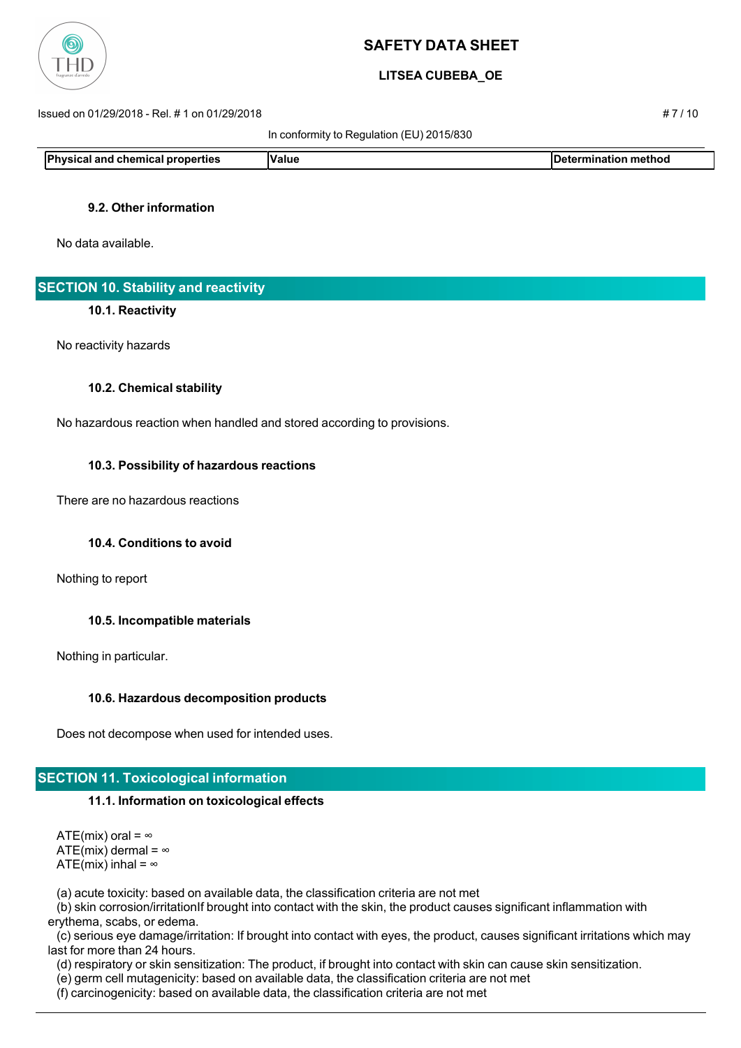

## **LITSEA CUBEBA\_OE**

Issued on 01/29/2018 - Rel. # 1 on 01/29/2018 # 7 / 10

In conformity to Regulation (EU) 2015/830

**Physical and chemical properties Value Value Determination method** 

### **9.2. Other information**

No data available.

## **SECTION 10. Stability and reactivity**

#### **10.1. Reactivity**

No reactivity hazards

#### **10.2. Chemical stability**

No hazardous reaction when handled and stored according to provisions.

#### **10.3. Possibility of hazardous reactions**

There are no hazardous reactions

### **10.4. Conditions to avoid**

Nothing to report

### **10.5. Incompatible materials**

Nothing in particular.

#### **10.6. Hazardous decomposition products**

Does not decompose when used for intended uses.

# **SECTION 11. Toxicological information**

#### **11.1. Information on toxicological effects**

ATE(mix) oral =  $\infty$ ATE(mix) dermal =  $\infty$ ATE(mix) inhal =  $\infty$ 

(a) acute toxicity: based on available data, the classification criteria are not met

 (b) skin corrosion/irritationIf brought into contact with the skin, the product causes significant inflammation with erythema, scabs, or edema.

 (c) serious eye damage/irritation: If brought into contact with eyes, the product, causes significant irritations which may last for more than 24 hours.

(d) respiratory or skin sensitization: The product, if brought into contact with skin can cause skin sensitization.

(e) germ cell mutagenicity: based on available data, the classification criteria are not met

(f) carcinogenicity: based on available data, the classification criteria are not met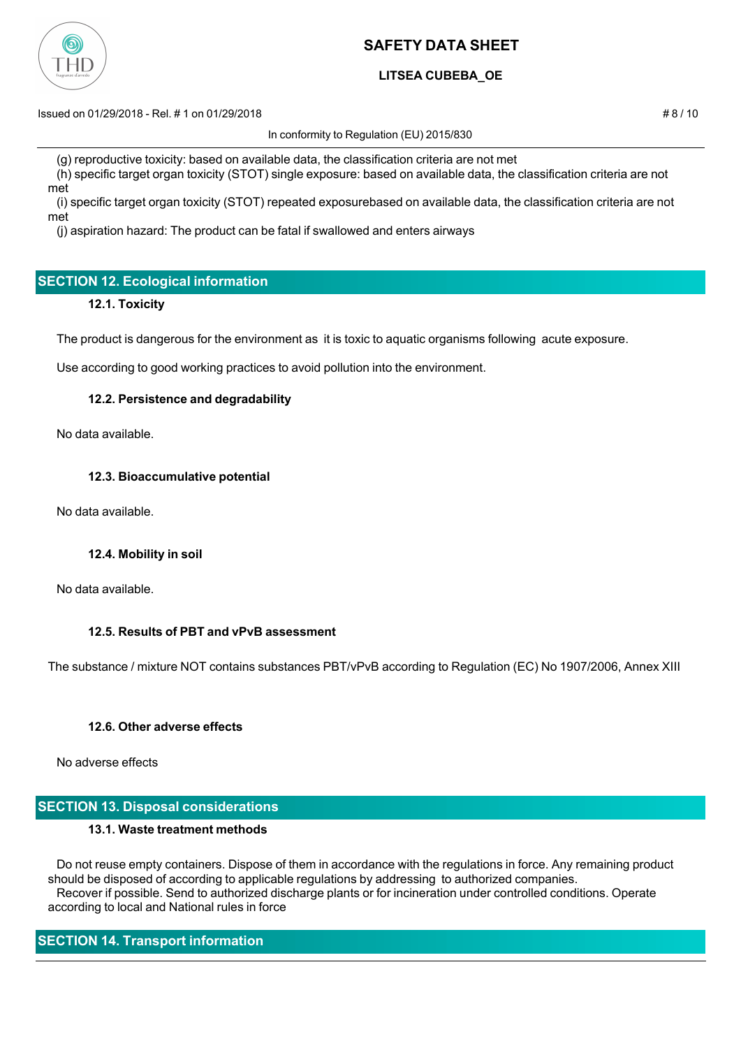

# **LITSEA CUBEBA\_OE**

Issued on 01/29/2018 - Rel. # 1 on 01/29/2018 # 8 / 10

In conformity to Regulation (EU) 2015/830

 (g) reproductive toxicity: based on available data, the classification criteria are not met (h) specific target organ toxicity (STOT) single exposure: based on available data, the classification criteria are not

met

 (i) specific target organ toxicity (STOT) repeated exposurebased on available data, the classification criteria are not met

(j) aspiration hazard: The product can be fatal if swallowed and enters airways

# **SECTION 12. Ecological information**

### **12.1. Toxicity**

The product is dangerous for the environment as it is toxic to aquatic organisms following acute exposure.

Use according to good working practices to avoid pollution into the environment.

### **12.2. Persistence and degradability**

No data available.

### **12.3. Bioaccumulative potential**

No data available.

### **12.4. Mobility in soil**

No data available.

### **12.5. Results of PBT and vPvB assessment**

The substance / mixture NOT contains substances PBT/vPvB according to Regulation (EC) No 1907/2006, Annex XIII

### **12.6. Other adverse effects**

No adverse effects

## **SECTION 13. Disposal considerations**

### **13.1. Waste treatment methods**

 Do not reuse empty containers. Dispose of them in accordance with the regulations in force. Any remaining product should be disposed of according to applicable regulations by addressing to authorized companies. Recover if possible. Send to authorized discharge plants or for incineration under controlled conditions. Operate according to local and National rules in force

# **SECTION 14. Transport information**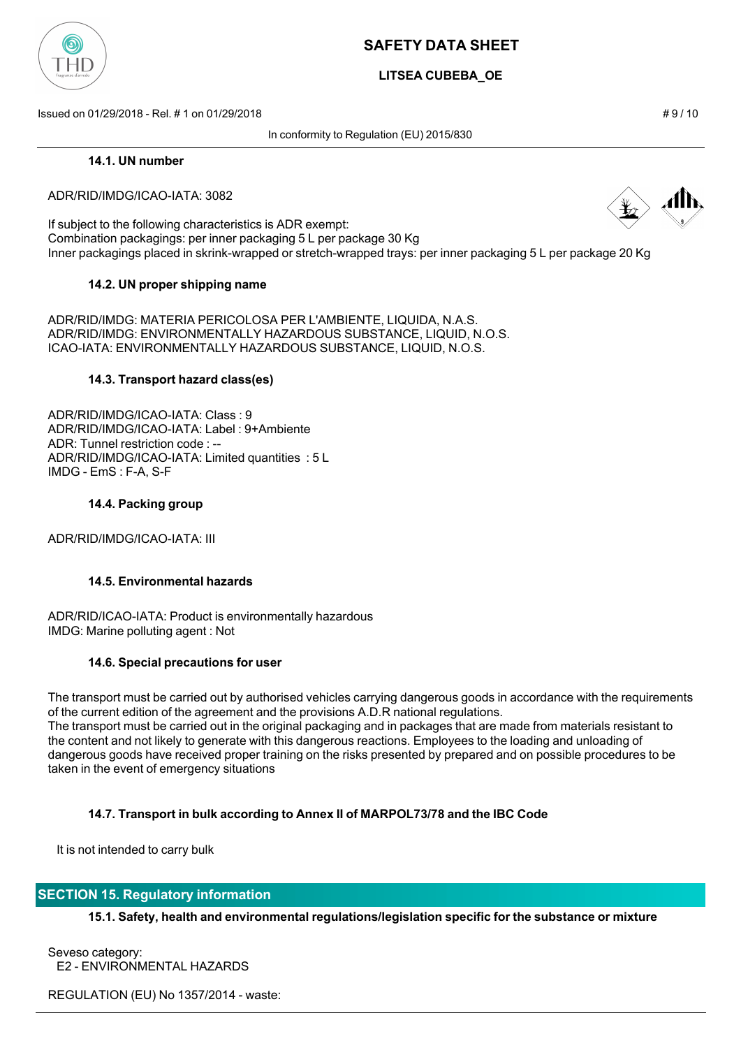

# **LITSEA CUBEBA\_OE**

Issued on 01/29/2018 - Rel. # 1 on 01/29/2018 # 9 / 10

In conformity to Regulation (EU) 2015/830

#### **14.1. UN number**

#### ADR/RID/IMDG/ICAO-IATA: 3082

If subject to the following characteristics is ADR exempt: Combination packagings: per inner packaging 5 L per package 30 Kg Inner packagings placed in skrink-wrapped or stretch-wrapped trays: per inner packaging 5 L per package 20 Kg

### **14.2. UN proper shipping name**

ADR/RID/IMDG: MATERIA PERICOLOSA PER L'AMBIENTE, LIQUIDA, N.A.S. ADR/RID/IMDG: ENVIRONMENTALLY HAZARDOUS SUBSTANCE, LIQUID, N.O.S. ICAO-IATA: ENVIRONMENTALLY HAZARDOUS SUBSTANCE, LIQUID, N.O.S.

#### **14.3. Transport hazard class(es)**

ADR/RID/IMDG/ICAO-IATA: Class : 9 ADR/RID/IMDG/ICAO-IATA: Label : 9+Ambiente ADR: Tunnel restriction code : -- ADR/RID/IMDG/ICAO-IATA: Limited quantities : 5 L IMDG - EmS : F-A, S-F

#### **14.4. Packing group**

ADR/RID/IMDG/ICAO-IATA: III

### **14.5. Environmental hazards**

ADR/RID/ICAO-IATA: Product is environmentally hazardous IMDG: Marine polluting agent : Not

### **14.6. Special precautions for user**

The transport must be carried out by authorised vehicles carrying dangerous goods in accordance with the requirements of the current edition of the agreement and the provisions A.D.R national regulations. The transport must be carried out in the original packaging and in packages that are made from materials resistant to the content and not likely to generate with this dangerous reactions. Employees to the loading and unloading of dangerous goods have received proper training on the risks presented by prepared and on possible procedures to be taken in the event of emergency situations

### **14.7. Transport in bulk according to Annex II of MARPOL73/78 and the IBC Code**

It is not intended to carry bulk

### **SECTION 15. Regulatory information**

**15.1. Safety, health and environmental regulations/legislation specific for the substance or mixture**

Seveso category: E2 - ENVIRONMENTAL HAZARDS

REGULATION (EU) No 1357/2014 - waste: